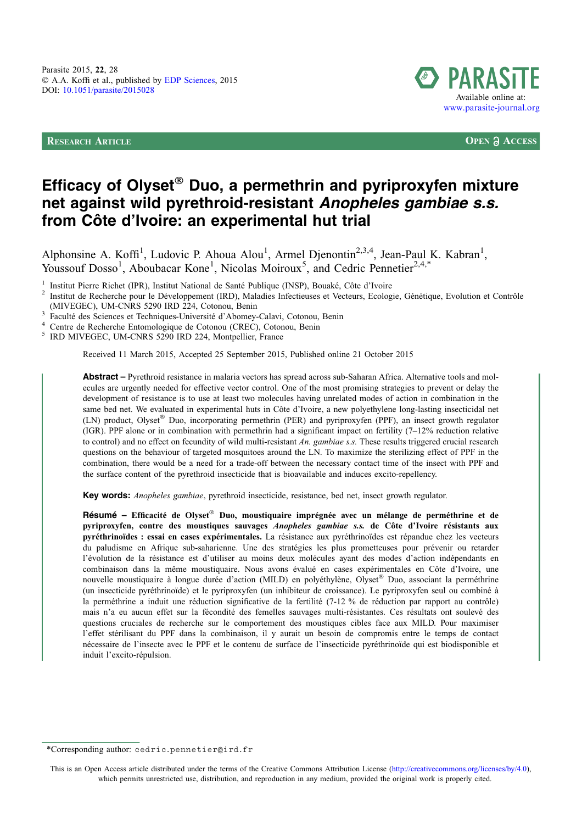RESEARCH ARTICLE **OPEN ACCESS**



# Efficacy of Olyset® Duo, a permethrin and pyriproxyfen mixture net against wild pyrethroid-resistant Anopheles gambiae s.s. from Côte d'Ivoire: an experimental hut trial

Alphonsine A. Koffi<sup>1</sup>, Ludovic P. Ahoua Alou<sup>1</sup>, Armel Djenontin<sup>2,3,4</sup>, Jean-Paul K. Kabran<sup>1</sup>, Youssouf Dosso<sup>1</sup>, Aboubacar Kone<sup>1</sup>, Nicolas Moiroux<sup>5</sup>, and Cedric Pennetier<sup>2,4,\*</sup>

<sup>1</sup> Institut Pierre Richet (IPR), Institut National de Santé Publique (INSP), Bouaké, Côte d'Ivoire<br><sup>2</sup> Institut de Recherche pour le Développement (IRD), Maladies Infectieuses et Vecteurs, Ecologie, Génétique, Evolution e

Faculté des Sciences et Techniques-Université d'Abomey-Calavi, Cotonou, Benin<br>
<sup>4</sup> Centre de Recherche Entomologique de Cotonou (CREC), Cotonou, Benin<br>
<sup>5</sup> IRD MIVEGEC, UM-CNRS 5290 IRD 224, Montpellier, France

Received 11 March 2015, Accepted 25 September 2015, Published online 21 October 2015

Abstract – Pyrethroid resistance in malaria vectors has spread across sub-Saharan Africa. Alternative tools and molecules are urgently needed for effective vector control. One of the most promising strategies to prevent or delay the development of resistance is to use at least two molecules having unrelated modes of action in combination in the same bed net. We evaluated in experimental huts in Côte d'Ivoire, a new polyethylene long-lasting insecticidal net (LN) product, Olyset® Duo, incorporating permethrin (PER) and pyriproxyfen (PPF), an insect growth regulator (IGR). PPF alone or in combination with permethrin had a significant impact on fertility (7–12% reduction relative to control) and no effect on fecundity of wild multi-resistant An. gambiae s.s. These results triggered crucial research questions on the behaviour of targeted mosquitoes around the LN. To maximize the sterilizing effect of PPF in the combination, there would be a need for a trade-off between the necessary contact time of the insect with PPF and the surface content of the pyrethroid insecticide that is bioavailable and induces excito-repellency.

Key words: Anopheles gambiae, pyrethroid insecticide, resistance, bed net, insect growth regulator.

Résumé – Efficacité de Olyset<sup>®</sup> Duo, moustiquaire imprégnée avec un mélange de perméthrine et de pyriproxyfen, contre des moustiques sauvages Anopheles gambiae s.s. de Côte d'Ivoire résistants aux pyréthrinoïdes : essai en cases expérimentales. La résistance aux pyréthrinoïdes est répandue chez les vecteurs du paludisme en Afrique sub-saharienne. Une des stratégies les plus prometteuses pour prévenir ou retarder l'évolution de la résistance est d'utiliser au moins deux molécules ayant des modes d'action indépendants en combinaison dans la même moustiquaire. Nous avons évalué en cases expérimentales en Côte d'Ivoire, une nouvelle moustiquaire à longue durée d'action (MILD) en polyéthylène, Olyset® Duo, associant la perméthrine (un insecticide pyréthrinoïde) et le pyriproxyfen (un inhibiteur de croissance). Le pyriproxyfen seul ou combiné à la perméthrine a induit une réduction significative de la fertilité (7-12 % de réduction par rapport au contrôle) mais n'a eu aucun effet sur la fécondité des femelles sauvages multi-résistantes. Ces résultats ont soulevé des questions cruciales de recherche sur le comportement des moustiques cibles face aux MILD. Pour maximiser l'effet stérilisant du PPF dans la combinaison, il y aurait un besoin de compromis entre le temps de contact nécessaire de l'insecte avec le PPF et le contenu de surface de l'insecticide pyréthrinoïde qui est biodisponible et induit l'excito-répulsion.

This is an Open Access article distributed under the terms of the Creative Commons Attribution License [\(http://creativecommons.org/licenses/by/4.0\)](http://creativecommons.org/licenses/by/4.0/), which permits unrestricted use, distribution, and reproduction in any medium, provided the original work is properly cited.

<sup>\*</sup>Corresponding author: cedric.pennetier@ird.fr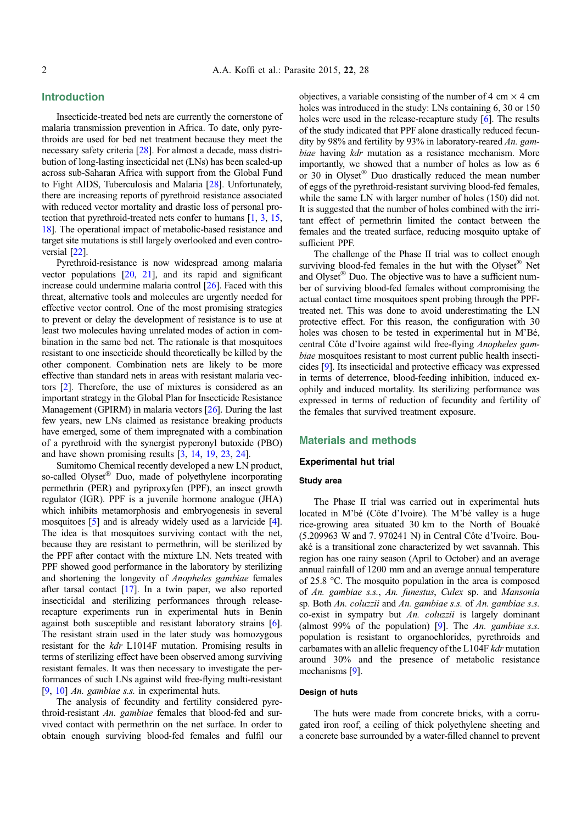# Introduction

Insecticide-treated bed nets are currently the cornerstone of malaria transmission prevention in Africa. To date, only pyrethroids are used for bed net treatment because they meet the necessary safety criteria [[28](#page-7-0)]. For almost a decade, mass distribution of long-lasting insecticidal net (LNs) has been scaled-up across sub-Saharan Africa with support from the Global Fund to Fight AIDS, Tuberculosis and Malaria [\[28\]](#page-7-0). Unfortunately, there are increasing reports of pyrethroid resistance associated with reduced vector mortality and drastic loss of personal protection that pyrethroid-treated nets confer to humans [\[1,](#page-6-0) [3](#page-6-0), [15](#page-6-0), [18](#page-6-0)]. The operational impact of metabolic-based resistance and target site mutations is still largely overlooked and even controversial [[22](#page-6-0)].

Pyrethroid-resistance is now widespread among malaria vector populations  $[20, 21]$  $[20, 21]$  $[20, 21]$ , and its rapid and significant increase could undermine malaria control [[26](#page-7-0)]. Faced with this threat, alternative tools and molecules are urgently needed for effective vector control. One of the most promising strategies to prevent or delay the development of resistance is to use at least two molecules having unrelated modes of action in combination in the same bed net. The rationale is that mosquitoes resistant to one insecticide should theoretically be killed by the other component. Combination nets are likely to be more effective than standard nets in areas with resistant malaria vectors [[2](#page-6-0)]. Therefore, the use of mixtures is considered as an important strategy in the Global Plan for Insecticide Resistance Management (GPIRM) in malaria vectors [[26](#page-7-0)]. During the last few years, new LNs claimed as resistance breaking products have emerged, some of them impregnated with a combination of a pyrethroid with the synergist pyperonyl butoxide (PBO) and have shown promising results [[3,](#page-6-0) [14,](#page-6-0) [19](#page-6-0), [23,](#page-6-0) [24](#page-6-0)].

Sumitomo Chemical recently developed a new LN product, so-called Olyset® Duo, made of polyethylene incorporating permethrin (PER) and pyriproxyfen (PPF), an insect growth regulator (IGR). PPF is a juvenile hormone analogue (JHA) which inhibits metamorphosis and embryogenesis in several mosquitoes [[5](#page-6-0)] and is already widely used as a larvicide [\[4](#page-6-0)]. The idea is that mosquitoes surviving contact with the net, because they are resistant to permethrin, will be sterilized by the PPF after contact with the mixture LN. Nets treated with PPF showed good performance in the laboratory by sterilizing and shortening the longevity of Anopheles gambiae females after tarsal contact [[17](#page-6-0)]. In a twin paper, we also reported insecticidal and sterilizing performances through releaserecapture experiments run in experimental huts in Benin against both susceptible and resistant laboratory strains [\[6](#page-6-0)]. The resistant strain used in the later study was homozygous resistant for the kdr L1014F mutation. Promising results in terms of sterilizing effect have been observed among surviving resistant females. It was then necessary to investigate the performances of such LNs against wild free-flying multi-resistant [[9,](#page-6-0) [10\]](#page-6-0) An. gambiae s.s. in experimental huts.

The analysis of fecundity and fertility considered pyrethroid-resistant An. gambiae females that blood-fed and survived contact with permethrin on the net surface. In order to obtain enough surviving blood-fed females and fulfil our objectives, a variable consisting of the number of 4 cm  $\times$  4 cm holes was introduced in the study: LNs containing 6, 30 or 150 holes were used in the release-recapture study [[6\]](#page-6-0). The results of the study indicated that PPF alone drastically reduced fecundity by 98% and fertility by 93% in laboratory-reared An. gambiae having kdr mutation as a resistance mechanism. More importantly, we showed that a number of holes as low as 6 or 30 in Olyset® Duo drastically reduced the mean number of eggs of the pyrethroid-resistant surviving blood-fed females, while the same LN with larger number of holes (150) did not. It is suggested that the number of holes combined with the irritant effect of permethrin limited the contact between the females and the treated surface, reducing mosquito uptake of sufficient PPF.

The challenge of the Phase II trial was to collect enough surviving blood-fed females in the hut with the Olyset® Net and Olyset® Duo. The objective was to have a sufficient number of surviving blood-fed females without compromising the actual contact time mosquitoes spent probing through the PPFtreated net. This was done to avoid underestimating the LN protective effect. For this reason, the configuration with 30 holes was chosen to be tested in experimental hut in M'Bé, central Côte d'Ivoire against wild free-flying Anopheles gambiae mosquitoes resistant to most current public health insecticides [[9](#page-6-0)]. Its insecticidal and protective efficacy was expressed in terms of deterrence, blood-feeding inhibition, induced exophily and induced mortality. Its sterilizing performance was expressed in terms of reduction of fecundity and fertility of the females that survived treatment exposure.

# Materials and methods

## Experimental hut trial

#### Study area

The Phase II trial was carried out in experimental huts located in M'bé (Côte d'Ivoire). The M'bé valley is a huge rice-growing area situated 30 km to the North of Bouaké (5.209963 W and 7. 970241 N) in Central Côte d'Ivoire. Bouaké is a transitional zone characterized by wet savannah. This region has one rainy season (April to October) and an average annual rainfall of 1200 mm and an average annual temperature of 25.8  $\degree$ C. The mosquito population in the area is composed of An. gambiae s.s., An. funestus, Culex sp. and Mansonia sp. Both An. coluzzii and An. gambiae s.s. of An. gambiae s.s. co-exist in sympatry but An. coluzzii is largely dominant (almost 99% of the population) [\[9\]](#page-6-0). The An. gambiae s.s. population is resistant to organochlorides, pyrethroids and carbamates with an allelic frequency of the L104F kdr mutation around 30% and the presence of metabolic resistance mechanisms [\[9\]](#page-6-0).

#### Design of huts

The huts were made from concrete bricks, with a corrugated iron roof, a ceiling of thick polyethylene sheeting and a concrete base surrounded by a water-filled channel to prevent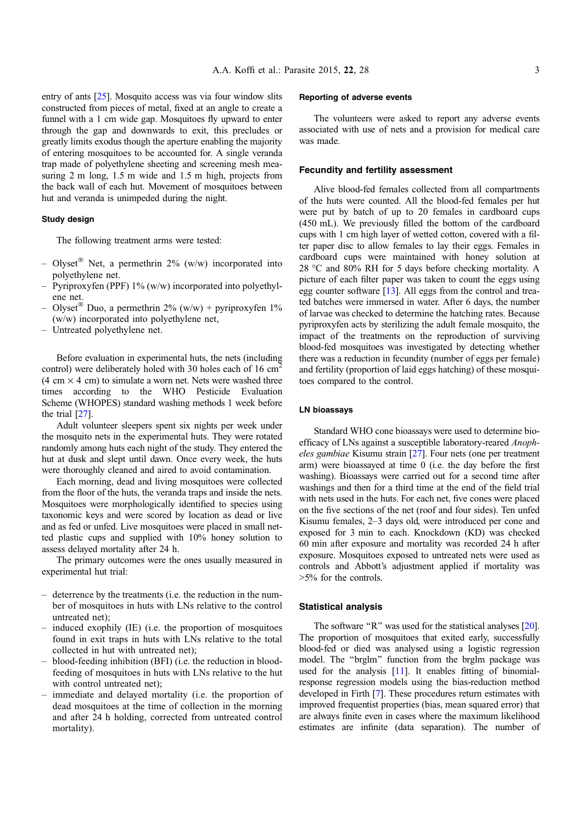entry of ants [[25\]](#page-7-0). Mosquito access was via four window slits constructed from pieces of metal, fixed at an angle to create a funnel with a 1 cm wide gap. Mosquitoes fly upward to enter through the gap and downwards to exit, this precludes or greatly limits exodus though the aperture enabling the majority of entering mosquitoes to be accounted for. A single veranda trap made of polyethylene sheeting and screening mesh measuring 2 m long, 1.5 m wide and 1.5 m high, projects from the back wall of each hut. Movement of mosquitoes between hut and veranda is unimpeded during the night.

#### Study design

The following treatment arms were tested:

- Olyset<sup>®</sup> Net, a permethrin 2% (w/w) incorporated into polyethylene net.
- Pyriproxyfen (PPF) 1% (w/w) incorporated into polyethylene net.
- Olyset<sup>®</sup> Duo, a permethrin 2% (w/w) + pyriproxyfen 1% (w/w) incorporated into polyethylene net,
- Untreated polyethylene net.

Before evaluation in experimental huts, the nets (including control) were deliberately holed with 30 holes each of 16 cm<sup>2</sup>  $(4 \text{ cm} \times 4 \text{ cm})$  to simulate a worn net. Nets were washed three times according to the WHO Pesticide Evaluation Scheme (WHOPES) standard washing methods 1 week before the trial [[27](#page-7-0)].

Adult volunteer sleepers spent six nights per week under the mosquito nets in the experimental huts. They were rotated randomly among huts each night of the study. They entered the hut at dusk and slept until dawn. Once every week, the huts were thoroughly cleaned and aired to avoid contamination.

Each morning, dead and living mosquitoes were collected from the floor of the huts, the veranda traps and inside the nets. Mosquitoes were morphologically identified to species using taxonomic keys and were scored by location as dead or live and as fed or unfed. Live mosquitoes were placed in small netted plastic cups and supplied with 10% honey solution to assess delayed mortality after 24 h.

The primary outcomes were the ones usually measured in experimental hut trial:

- deterrence by the treatments (i.e. the reduction in the number of mosquitoes in huts with LNs relative to the control untreated net);
- induced exophily (IE) (i.e. the proportion of mosquitoes found in exit traps in huts with LNs relative to the total collected in hut with untreated net);
- blood-feeding inhibition (BFI) (i.e. the reduction in bloodfeeding of mosquitoes in huts with LNs relative to the hut with control untreated net);
- immediate and delayed mortality (i.e. the proportion of dead mosquitoes at the time of collection in the morning and after 24 h holding, corrected from untreated control mortality).

#### Reporting of adverse events

The volunteers were asked to report any adverse events associated with use of nets and a provision for medical care was made.

#### Fecundity and fertility assessment

Alive blood-fed females collected from all compartments of the huts were counted. All the blood-fed females per hut were put by batch of up to 20 females in cardboard cups (450 mL). We previously filled the bottom of the cardboard cups with 1 cm high layer of wetted cotton, covered with a filter paper disc to allow females to lay their eggs. Females in cardboard cups were maintained with honey solution at 28 °C and 80% RH for 5 days before checking mortality. A picture of each filter paper was taken to count the eggs using egg counter software [\[13\]](#page-6-0). All eggs from the control and treated batches were immersed in water. After 6 days, the number of larvae was checked to determine the hatching rates. Because pyriproxyfen acts by sterilizing the adult female mosquito, the impact of the treatments on the reproduction of surviving blood-fed mosquitoes was investigated by detecting whether there was a reduction in fecundity (number of eggs per female) and fertility (proportion of laid eggs hatching) of these mosquitoes compared to the control.

#### LN bioassays

Standard WHO cone bioassays were used to determine bioefficacy of LNs against a susceptible laboratory-reared Anopheles gambiae Kisumu strain [\[27\]](#page-7-0). Four nets (one per treatment arm) were bioassayed at time 0 (i.e. the day before the first washing). Bioassays were carried out for a second time after washings and then for a third time at the end of the field trial with nets used in the huts. For each net, five cones were placed on the five sections of the net (roof and four sides). Ten unfed Kisumu females, 2–3 days old, were introduced per cone and exposed for 3 min to each. Knockdown (KD) was checked 60 min after exposure and mortality was recorded 24 h after exposure. Mosquitoes exposed to untreated nets were used as controls and Abbott's adjustment applied if mortality was >5% for the controls.

#### Statistical analysis

The software "R" was used for the statistical analyses [[20](#page-6-0)]. The proportion of mosquitoes that exited early, successfully blood-fed or died was analysed using a logistic regression model. The ''brglm'' function from the brglm package was used for the analysis [\[11](#page-6-0)]. It enables fitting of binomialresponse regression models using the bias-reduction method developed in Firth [[7](#page-6-0)]. These procedures return estimates with improved frequentist properties (bias, mean squared error) that are always finite even in cases where the maximum likelihood estimates are infinite (data separation). The number of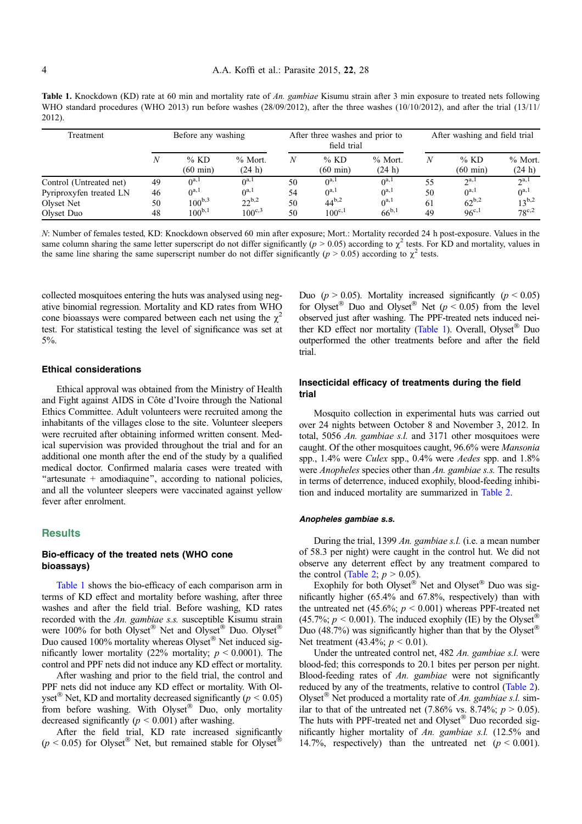**Table 1.** Knockdown (KD) rate at 60 min and mortality rate of An. gambiae Kisumu strain after 3 min exposure to treated nets following WHO standard procedures (WHO 2013) run before washes (28/09/2012), after the three washes (10/10/2012), and after the trial (13/11/ 2012).

| Treatment               | Before any washing |                              |                      | After three washes and prior to<br>field trial |                              |                     | After washing and field trial |                              |                     |
|-------------------------|--------------------|------------------------------|----------------------|------------------------------------------------|------------------------------|---------------------|-------------------------------|------------------------------|---------------------|
|                         |                    | $%$ KD<br>$(60 \text{ min})$ | $%$ Mort.<br>(24 h)  | N                                              | $%$ KD<br>$(60 \text{ min})$ | $%$ Mort.<br>(24 h) | Ν                             | $%$ KD<br>$(60 \text{ min})$ | $%$ Mort.<br>(24 h) |
| Control (Untreated net) | 49                 | $\Lambda^{a,1}$              | $\theta^{a,1}$       | 50                                             | $0^{a,1}$                    | $0^{a,1}$           | 55                            | $2^{a,1}$                    | 2a,1                |
| Pyriproxyfen treated LN | 46                 | $\Lambda^{a,1}$              | $0^{a,1}$            | 54                                             | $0^{a,1}$                    | $0^{a,1}$           | 50                            | $0^{a,1}$                    | $0^{a,1}$           |
| Olyset Net              | 50                 | $100^{b,3}$                  | $22^{b,2}$           | 50                                             | $44^{b,2}$                   | $0^{a,1}$           | 61                            | $62^{b,2}$                   | $13^{b,2}$          |
| Olyset Duo              | 48                 | $100^{b,1}$                  | $100^{\mathrm{c},3}$ | 50                                             | $100^{c,1}$                  | $66^{b,1}$          | 49                            | $96^{c,1}$                   | $78^{c,2}$          |

N: Number of females tested, KD: Knockdown observed 60 min after exposure; Mort.: Mortality recorded 24 h post-exposure. Values in the same column sharing the same letter superscript do not differ significantly ( $p > 0.05$ ) according to  $\chi^2$  tests. For KD and mortality, values in the same line sharing the same superscript number do not differ significantly ( $p > 0.05$ ) according to  $\chi^2$  tests.

collected mosquitoes entering the huts was analysed using negative binomial regression. Mortality and KD rates from WHO cone bioassays were compared between each net using the  $\chi^2$ test. For statistical testing the level of significance was set at 5%.

#### Ethical considerations

Ethical approval was obtained from the Ministry of Health and Fight against AIDS in Côte d'Ivoire through the National Ethics Committee. Adult volunteers were recruited among the inhabitants of the villages close to the site. Volunteer sleepers were recruited after obtaining informed written consent. Medical supervision was provided throughout the trial and for an additional one month after the end of the study by a qualified medical doctor. Confirmed malaria cases were treated with "artesunate + amodiaquine", according to national policies, and all the volunteer sleepers were vaccinated against yellow fever after enrolment.

# **Results**

## Bio-efficacy of the treated nets (WHO cone bioassays)

Table 1 shows the bio-efficacy of each comparison arm in terms of KD effect and mortality before washing, after three washes and after the field trial. Before washing, KD rates recorded with the An. gambiae s.s. susceptible Kisumu strain were 100% for both Olyset<sup>®</sup> Net and Olyset<sup>®</sup> Duo. Olyset<sup>®</sup> Duo caused 100% mortality whereas Olyset® Net induced significantly lower mortality (22% mortality;  $p \le 0.0001$ ). The control and PPF nets did not induce any KD effect or mortality.

After washing and prior to the field trial, the control and PPF nets did not induce any KD effect or mortality. With Olyset<sup>®</sup> Net, KD and mortality decreased significantly ( $p < 0.05$ ) from before washing. With Olyset<sup>®</sup> Duo, only mortality decreased significantly  $(p < 0.001)$  after washing.

After the field trial, KD rate increased significantly  $(p < 0.05)$  for Olyset<sup>®</sup> Net, but remained stable for Olyset<sup>®</sup>

Duo ( $p > 0.05$ ). Mortality increased significantly ( $p < 0.05$ ) for Olyset<sup>®</sup> Duo and Olyset<sup>®</sup> Net ( $p < 0.05$ ) from the level observed just after washing. The PPF-treated nets induced neither KD effect nor mortality (Table 1). Overall, Olyset® Duo outperformed the other treatments before and after the field trial.

# Insecticidal efficacy of treatments during the field trial

Mosquito collection in experimental huts was carried out over 24 nights between October 8 and November 3, 2012. In total, 5056 An. gambiae s.l. and 3171 other mosquitoes were caught. Of the other mosquitoes caught, 96.6% were Mansonia spp., 1.4% were Culex spp., 0.4% were Aedes spp. and 1.8% were *Anopheles* species other than An. gambiae s.s. The results in terms of deterrence, induced exophily, blood-feeding inhibition and induced mortality are summarized in [Table 2.](#page-4-0)

#### Anopheles gambiae s.s.

During the trial, 1399 An. gambiae s.l. (i.e. a mean number of 58.3 per night) were caught in the control hut. We did not observe any deterrent effect by any treatment compared to the control ([Table 2](#page-4-0);  $p > 0.05$ ).

Exophily for both Olyset® Net and Olyset® Duo was significantly higher (65.4% and 67.8%, respectively) than with the untreated net (45.6%;  $p \le 0.001$ ) whereas PPF-treated net (45.7%;  $p < 0.001$ ). The induced exophily (IE) by the Olyset<sup>®</sup> Duo (48.7%) was significantly higher than that by the Olyset® Net treatment (43.4%;  $p < 0.01$ ).

Under the untreated control net, 482 An. gambiae s.l. were blood-fed; this corresponds to 20.1 bites per person per night. Blood-feeding rates of An. gambiae were not significantly reduced by any of the treatments, relative to control [\(Table 2](#page-4-0)). Olyset<sup>®</sup> Net produced a mortality rate of An. gambiae s.l. similar to that of the untreated net (7.86% vs. 8.74%;  $p > 0.05$ ). The huts with PPF-treated net and Olyset® Duo recorded significantly higher mortality of An. gambiae s.l. (12.5% and 14.7%, respectively) than the untreated net ( $p < 0.001$ ).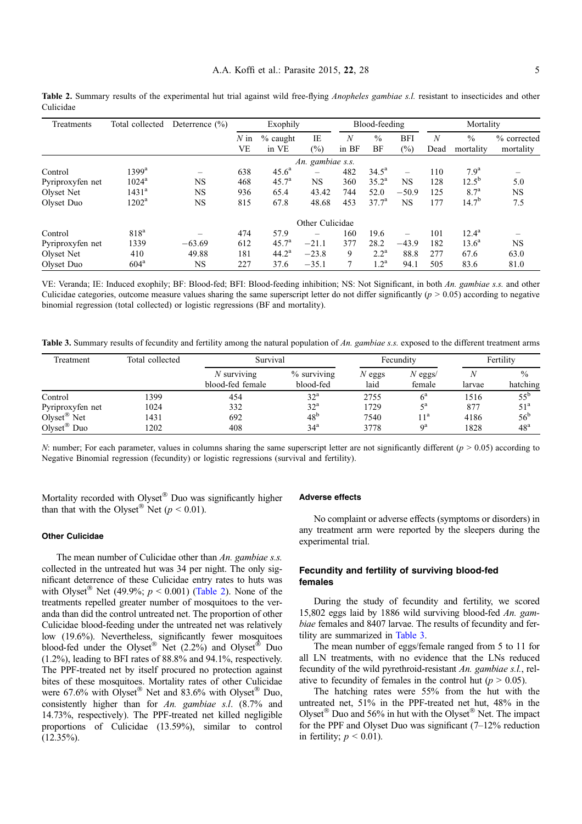<span id="page-4-0"></span>Table 2. Summary results of the experimental hut trial against wild free-flying *Anopheles gambiae s.l.* resistant to insecticides and other Culicidae

| Treatments       | Total collected     | Deterrence $(\% )$ |                          | Exophily             |                          |                           | Blood-feeding       |            | Mortality |                            |                          |
|------------------|---------------------|--------------------|--------------------------|----------------------|--------------------------|---------------------------|---------------------|------------|-----------|----------------------------|--------------------------|
|                  |                     |                    | $N \in \mathbb{R}$<br>VE | $\%$ caught<br>in VE | IE<br>$\binom{0}{0}$     | $\boldsymbol{N}$<br>in BF | $\frac{0}{0}$<br>BF | BFI<br>(%) | N<br>Dead | $\frac{0}{0}$<br>mortality | % corrected<br>mortality |
|                  |                     |                    |                          |                      | An. gambiae s.s.         |                           |                     |            |           |                            |                          |
| Control          | $1399$ <sup>a</sup> |                    | 638                      | $45.6^{\circ}$       | $\overline{\phantom{0}}$ | 482                       | $34.5^{\rm a}$      |            | 110       | $7.9^{\rm a}$              |                          |
| Pyriproxyfen net | $1024^{\rm a}$      | NS                 | 468                      | 45.7 <sup>a</sup>    | NS                       | 360                       | $35.2^{\rm a}$      | <b>NS</b>  | 128       | $12.5^{b}$                 | 5.0                      |
| Olyset Net       | $1431^{\rm a}$      | NS                 | 936                      | 65.4                 | 43.42                    | 744                       | 52.0                | $-50.9$    | 125       | 8.7 <sup>a</sup>           | <b>NS</b>                |
| Olyset Duo       | $1202^{\rm a}$      | NS                 | 815                      | 67.8                 | 48.68                    | 453                       | 37.7 <sup>a</sup>   | <b>NS</b>  | 177       | $14.7^{b}$                 | 7.5                      |
|                  |                     |                    |                          |                      | Other Culicidae          |                           |                     |            |           |                            |                          |
| Control          | 818 <sup>a</sup>    |                    | 474                      | 57.9                 |                          | 160                       | 19.6                |            | 101       | $12.4^{\rm a}$             |                          |
| Pyriproxyfen net | 1339                | $-63.69$           | 612                      | $45.7^{\circ}$       | $-21.1$                  | 377                       | 28.2                | $-43.9$    | 182       | $13.6^{\circ}$             | <b>NS</b>                |
| Olyset Net       | 410                 | 49.88              | 181                      | $44.2^{\rm a}$       | $-23.8$                  | 9                         | $2.2^{\rm a}$       | 88.8       | 277       | 67.6                       | 63.0                     |
| Olyset Duo       | 604 <sup>a</sup>    | NS                 | 227                      | 37.6                 | $-35.1$                  | 7                         | $1.2^{\mathrm{a}}$  | 94.1       | 505       | 83.6                       | 81.0                     |

VE: Veranda; IE: Induced exophily; BF: Blood-fed; BFI: Blood-feeding inhibition; NS: Not Significant, in both An. gambiae s.s. and other Culicidae categories, outcome measure values sharing the same superscript letter do not differ significantly  $(p > 0.05)$  according to negative binomial regression (total collected) or logistic regressions (BF and mortality).

Table 3. Summary results of fecundity and fertility among the natural population of An. gambiae s.s. exposed to the different treatment arms

| Treatment               | Total collected | Survival                          |                            | Fecundity        | Fertility           |        |                           |
|-------------------------|-----------------|-----------------------------------|----------------------------|------------------|---------------------|--------|---------------------------|
|                         |                 | $N$ surviving<br>blood-fed female | $%$ surviving<br>blood-fed | $N$ eggs<br>laid | $N$ eggs/<br>female | larvae | $\frac{0}{0}$<br>hatching |
| Control                 | 1399            | 454                               | $32^{\rm a}$               | 2755             | $6^{\rm a}$         | 1516   | $55^{\rm b}$              |
| Pyriproxyfen net        | 1024            | 332                               | $32^{\rm a}$               | 1729             | $\zeta$ a           | 877    | 51 <sup>a</sup>           |
| $Olyset^{\otimes}$ Net  | 1431            | 692                               | 48 <sup>b</sup>            | 7540             | 1 <sup>a</sup>      | 4186   | 56 <sup>b</sup>           |
| Olyset <sup>®</sup> Duo | 1202            | 408                               | 34 <sup>a</sup>            | 3778             | Qa                  | 1828   | 48 <sup>a</sup>           |

N: number; For each parameter, values in columns sharing the same superscript letter are not significantly different ( $p > 0.05$ ) according to Negative Binomial regression (fecundity) or logistic regressions (survival and fertility).

Mortality recorded with Olyset® Duo was significantly higher than that with the Olyset<sup>®</sup> Net ( $p < 0.01$ ).

#### Adverse effects

Other Culicidae

The mean number of Culicidae other than An. gambiae s.s. collected in the untreated hut was 34 per night. The only significant deterrence of these Culicidae entry rates to huts was with Olyset<sup>®</sup> Net (49.9%;  $p < 0.001$ ) (Table 2). None of the treatments repelled greater number of mosquitoes to the veranda than did the control untreated net. The proportion of other Culicidae blood-feeding under the untreated net was relatively low (19.6%). Nevertheless, significantly fewer mosquitoes blood-fed under the Olyset® Net (2.2%) and Olyset® Duo (1.2%), leading to BFI rates of 88.8% and 94.1%, respectively. The PPF-treated net by itself procured no protection against bites of these mosquitoes. Mortality rates of other Culicidae were 67.6% with Olyset<sup>®</sup> Net and 83.6% with Olyset<sup>®</sup> Duo, consistently higher than for An. gambiae s.l. (8.7% and 14.73%, respectively). The PPF-treated net killed negligible proportions of Culicidae (13.59%), similar to control  $(12.35\%)$ .

No complaint or adverse effects (symptoms or disorders) in any treatment arm were reported by the sleepers during the experimental trial.

## Fecundity and fertility of surviving blood-fed females

During the study of fecundity and fertility, we scored 15,802 eggs laid by 1886 wild surviving blood-fed An. gambiae females and 8407 larvae. The results of fecundity and fertility are summarized in Table 3.

The mean number of eggs/female ranged from 5 to 11 for all LN treatments, with no evidence that the LNs reduced fecundity of the wild pyrethroid-resistant An. gambiae s.l., relative to fecundity of females in the control hut ( $p > 0.05$ ).

The hatching rates were 55% from the hut with the untreated net, 51% in the PPF-treated net hut, 48% in the Olyset<sup>®</sup> Duo and 56% in hut with the Olyset<sup>®</sup> Net. The impact for the PPF and Olyset Duo was significant (7–12% reduction in fertility;  $p \leq 0.01$ ).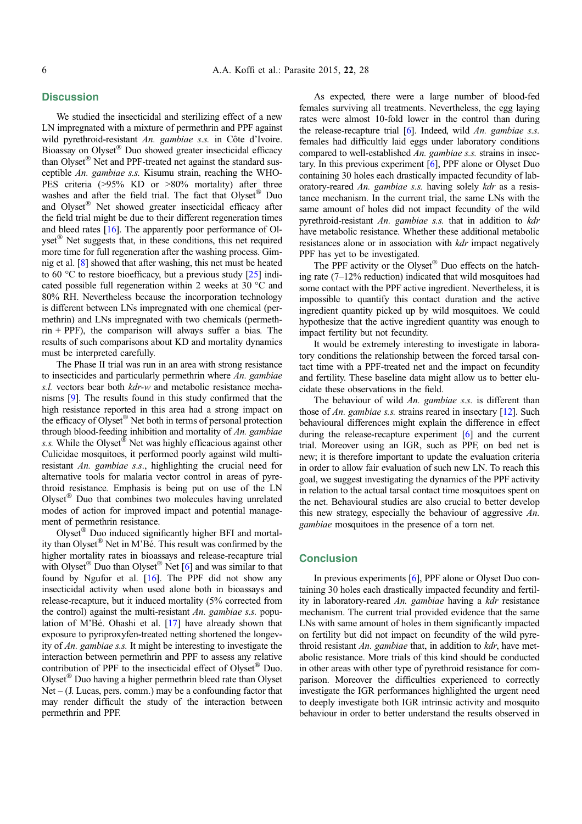# **Discussion**

We studied the insecticidal and sterilizing effect of a new LN impregnated with a mixture of permethrin and PPF against wild pyrethroid-resistant An. gambiae s.s. in Côte d'Ivoire. Bioassay on Olyset® Duo showed greater insecticidal efficacy than Olyset<sup>®</sup> Net and PPF-treated net against the standard susceptible An. gambiae s.s. Kisumu strain, reaching the WHO-PES criteria (>95% KD or >80% mortality) after three washes and after the field trial. The fact that Olyset® Duo and Olyset® Net showed greater insecticidal efficacy after the field trial might be due to their different regeneration times and bleed rates [[16](#page-6-0)]. The apparently poor performance of Olyset<sup>®</sup> Net suggests that, in these conditions, this net required more time for full regeneration after the washing process. Gimnig et al. [\[8\]](#page-6-0) showed that after washing, this net must be heated to 60  $\degree$ C to restore bioefficacy, but a previous study [\[25](#page-7-0)] indicated possible full regeneration within 2 weeks at 30  $^{\circ}$ C and 80% RH. Nevertheless because the incorporation technology is different between LNs impregnated with one chemical (permethrin) and LNs impregnated with two chemicals (permeth $rin + PPF$ ), the comparison will always suffer a bias. The results of such comparisons about KD and mortality dynamics must be interpreted carefully.

The Phase II trial was run in an area with strong resistance to insecticides and particularly permethrin where  $An$ , gambiae s.l. vectors bear both  $kdr-w$  and metabolic resistance mechanisms [\[9\]](#page-6-0). The results found in this study confirmed that the high resistance reported in this area had a strong impact on the efficacy of Olyset® Net both in terms of personal protection through blood-feeding inhibition and mortality of An. gambiae s.s. While the Olyset<sup>®</sup> Net was highly efficacious against other Culicidae mosquitoes, it performed poorly against wild multiresistant An. gambiae s.s., highlighting the crucial need for alternative tools for malaria vector control in areas of pyrethroid resistance. Emphasis is being put on use of the LN Olyset<sup>®</sup> Duo that combines two molecules having unrelated modes of action for improved impact and potential management of permethrin resistance.

Olyset<sup>®</sup> Duo induced significantly higher BFI and mortality than Olyset® Net in M'Bé. This result was confirmed by the higher mortality rates in bioassays and release-recapture trial with Olyset<sup>®</sup> Duo than Olyset<sup>®</sup> Net [\[6](#page-6-0)] and was similar to that found by Ngufor et al. [[16](#page-6-0)]. The PPF did not show any insecticidal activity when used alone both in bioassays and release-recapture, but it induced mortality (5% corrected from the control) against the multi-resistant An. gambiae s.s. population of M'Bé. Ohashi et al. [\[17\]](#page-6-0) have already shown that exposure to pyriproxyfen-treated netting shortened the longevity of An. gambiae s.s. It might be interesting to investigate the interaction between permethrin and PPF to assess any relative contribution of PPF to the insecticidal effect of Olyset® Duo. Olyset<sup>®</sup> Duo having a higher permethrin bleed rate than Olyset  $Net - (J. Lucas, pers. comm.)$  may be a confounding factor that may render difficult the study of the interaction between permethrin and PPF.

As expected, there were a large number of blood-fed females surviving all treatments. Nevertheless, the egg laying rates were almost 10-fold lower in the control than during the release-recapture trial  $[6]$ . Indeed, wild An. gambiae s.s. females had difficultly laid eggs under laboratory conditions compared to well-established An. gambiae s.s. strains in insectary. In this previous experiment [\[6\]](#page-6-0), PPF alone or Olyset Duo containing 30 holes each drastically impacted fecundity of laboratory-reared An. gambiae s.s. having solely kdr as a resistance mechanism. In the current trial, the same LNs with the same amount of holes did not impact fecundity of the wild pyrethroid-resistant An. gambiae s.s. that in addition to kdr have metabolic resistance. Whether these additional metabolic resistances alone or in association with *kdr* impact negatively PPF has yet to be investigated.

The PPF activity or the Olyset® Duo effects on the hatching rate (7–12% reduction) indicated that wild mosquitoes had some contact with the PPF active ingredient. Nevertheless, it is impossible to quantify this contact duration and the active ingredient quantity picked up by wild mosquitoes. We could hypothesize that the active ingredient quantity was enough to impact fertility but not fecundity.

It would be extremely interesting to investigate in laboratory conditions the relationship between the forced tarsal contact time with a PPF-treated net and the impact on fecundity and fertility. These baseline data might allow us to better elucidate these observations in the field.

The behaviour of wild An. gambiae s.s. is different than those of An. gambiae s.s. strains reared in insectary [\[12](#page-6-0)]. Such behavioural differences might explain the difference in effect during the release-recapture experiment [\[6\]](#page-6-0) and the current trial. Moreover using an IGR, such as PPF, on bed net is new; it is therefore important to update the evaluation criteria in order to allow fair evaluation of such new LN. To reach this goal, we suggest investigating the dynamics of the PPF activity in relation to the actual tarsal contact time mosquitoes spent on the net. Behavioural studies are also crucial to better develop this new strategy, especially the behaviour of aggressive An. gambiae mosquitoes in the presence of a torn net.

# **Conclusion**

In previous experiments [\[6](#page-6-0)], PPF alone or Olyset Duo containing 30 holes each drastically impacted fecundity and fertility in laboratory-reared An. gambiae having a kdr resistance mechanism. The current trial provided evidence that the same LNs with same amount of holes in them significantly impacted on fertility but did not impact on fecundity of the wild pyrethroid resistant An. gambiae that, in addition to  $kdr$ , have metabolic resistance. More trials of this kind should be conducted in other areas with other type of pyrethroid resistance for comparison. Moreover the difficulties experienced to correctly investigate the IGR performances highlighted the urgent need to deeply investigate both IGR intrinsic activity and mosquito behaviour in order to better understand the results observed in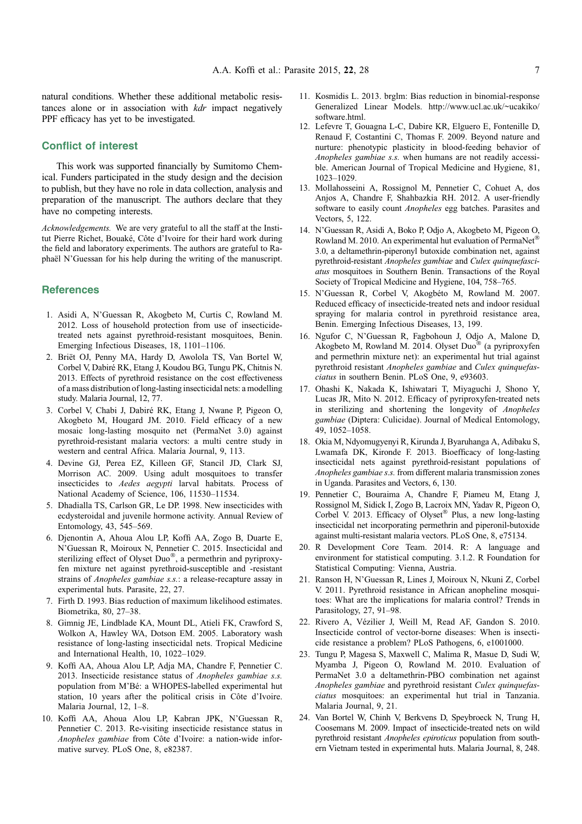<span id="page-6-0"></span>natural conditions. Whether these additional metabolic resistances alone or in association with *kdr* impact negatively PPF efficacy has yet to be investigated.

# Conflict of interest

This work was supported financially by Sumitomo Chemical. Funders participated in the study design and the decision to publish, but they have no role in data collection, analysis and preparation of the manuscript. The authors declare that they have no competing interests.

Acknowledgements. We are very grateful to all the staff at the Institut Pierre Richet, Bouaké, Côte d'Ivoire for their hard work during the field and laboratory experiments. The authors are grateful to Raphaël N'Guessan for his help during the writing of the manuscript.

# **References**

- 1. Asidi A, N'Guessan R, Akogbeto M, Curtis C, Rowland M. 2012. Loss of household protection from use of insecticidetreated nets against pyrethroid-resistant mosquitoes, Benin. Emerging Infectious Diseases, 18, 1101–1106.
- 2. Briët OJ, Penny MA, Hardy D, Awolola TS, Van Bortel W, Corbel V, Dabiré RK, Etang J, Koudou BG, Tungu PK, Chitnis N. 2013. Effects of pyrethroid resistance on the cost effectiveness of a mass distribution of long-lasting insecticidal nets: a modelling study. Malaria Journal, 12, 77.
- 3. Corbel V, Chabi J, Dabiré RK, Etang J, Nwane P, Pigeon O, Akogbeto M, Hougard JM. 2010. Field efficacy of a new mosaic long-lasting mosquito net (PermaNet 3.0) against pyrethroid-resistant malaria vectors: a multi centre study in western and central Africa. Malaria Journal, 9, 113.
- 4. Devine GJ, Perea EZ, Killeen GF, Stancil JD, Clark SJ, Morrison AC. 2009. Using adult mosquitoes to transfer insecticides to Aedes aegypti larval habitats. Process of National Academy of Science, 106, 11530–11534.
- 5. Dhadialla TS, Carlson GR, Le DP. 1998. New insecticides with ecdysteroidal and juvenile hormone activity. Annual Review of Entomology, 43, 545–569.
- 6. Djenontin A, Ahoua Alou LP, Koffi AA, Zogo B, Duarte E, N'Guessan R, Moiroux N, Pennetier C. 2015. Insecticidal and sterilizing effect of Olyset Duo®, a permethrin and pyriproxyfen mixture net against pyrethroid-susceptible and -resistant strains of *Anopheles gambiae s.s.*: a release-recapture assay in experimental huts. Parasite, 22, 27.
- 7. Firth D. 1993. Bias reduction of maximum likelihood estimates. Biometrika, 80, 27–38.
- 8. Gimnig JE, Lindblade KA, Mount DL, Atieli FK, Crawford S, Wolkon A, Hawley WA, Dotson EM. 2005. Laboratory wash resistance of long-lasting insecticidal nets. Tropical Medicine and International Health, 10, 1022–1029.
- 9. Koffi AA, Ahoua Alou LP, Adja MA, Chandre F, Pennetier C. 2013. Insecticide resistance status of Anopheles gambiae s.s. population from M'Bé: a WHOPES-labelled experimental hut station, 10 years after the political crisis in Côte d'Ivoire. Malaria Journal, 12, 1–8.
- 10. Koffi AA, Ahoua Alou LP, Kabran JPK, N'Guessan R, Pennetier C. 2013. Re-visiting insecticide resistance status in Anopheles gambiae from Côte d'Ivoire: a nation-wide informative survey. PLoS One, 8, e82387.
- 11. Kosmidis L. 2013. brglm: Bias reduction in binomial-response Generalized Linear Models. http://www.ucl.ac.uk/~ucakiko/ software.html.
- 12. Lefevre T, Gouagna L-C, Dabire KR, Elguero E, Fontenille D, Renaud F, Costantini C, Thomas F. 2009. Beyond nature and nurture: phenotypic plasticity in blood-feeding behavior of Anopheles gambiae s.s. when humans are not readily accessible. American Journal of Tropical Medicine and Hygiene, 81, 1023–1029.
- 13. Mollahosseini A, Rossignol M, Pennetier C, Cohuet A, dos Anjos A, Chandre F, Shahbazkia RH. 2012. A user-friendly software to easily count Anopheles egg batches. Parasites and Vectors, 5, 122.
- 14. N'Guessan R, Asidi A, Boko P, Odjo A, Akogbeto M, Pigeon O, Rowland M. 2010. An experimental hut evaluation of PermaNet® 3.0, a deltamethrin-piperonyl butoxide combination net, against pyrethroid-resistant Anopheles gambiae and Culex quinquefasciatus mosquitoes in Southern Benin. Transactions of the Royal Society of Tropical Medicine and Hygiene, 104, 758–765.
- 15. N'Guessan R, Corbel V, Akogbéto M, Rowland M. 2007. Reduced efficacy of insecticide-treated nets and indoor residual spraying for malaria control in pyrethroid resistance area, Benin. Emerging Infectious Diseases, 13, 199.
- 16. Ngufor C, N'Guessan R, Fagbohoun J, Odjo A, Malone D, Akogbeto M, Rowland M. 2014. Olyset Duo® (a pyriproxyfen and permethrin mixture net): an experimental hut trial against pyrethroid resistant Anopheles gambiae and Culex quinquefasciatus in southern Benin. PLoS One, 9, e93603.
- 17. Ohashi K, Nakada K, Ishiwatari T, Miyaguchi J, Shono Y, Lucas JR, Mito N. 2012. Efficacy of pyriproxyfen-treated nets in sterilizing and shortening the longevity of Anopheles gambiae (Diptera: Culicidae). Journal of Medical Entomology, 49, 1052–1058.
- 18. Okia M, Ndyomugyenyi R, Kirunda J, Byaruhanga A, Adibaku S, Lwamafa DK, Kironde F. 2013. Bioefficacy of long-lasting insecticidal nets against pyrethroid-resistant populations of Anopheles gambiae s.s. from different malaria transmission zones in Uganda. Parasites and Vectors, 6, 130.
- 19. Pennetier C, Bouraima A, Chandre F, Piameu M, Etang J, Rossignol M, Sidick I, Zogo B, Lacroix MN, Yadav R, Pigeon O, Corbel V. 2013. Efficacy of Olyset® Plus, a new long-lasting insecticidal net incorporating permethrin and piperonil-butoxide against multi-resistant malaria vectors. PLoS One, 8, e75134.
- 20. R Development Core Team. 2014. R: A language and environment for statistical computing. 3.1.2. R Foundation for Statistical Computing: Vienna, Austria.
- 21. Ranson H, N'Guessan R, Lines J, Moiroux N, Nkuni Z, Corbel V. 2011. Pyrethroid resistance in African anopheline mosquitoes: What are the implications for malaria control? Trends in Parasitology, 27, 91–98.
- 22. Rivero A, Vézilier J, Weill M, Read AF, Gandon S. 2010. Insecticide control of vector-borne diseases: When is insecticide resistance a problem? PLoS Pathogens, 6, e1001000.
- 23. Tungu P, Magesa S, Maxwell C, Malima R, Masue D, Sudi W, Myamba J, Pigeon O, Rowland M. 2010. Evaluation of PermaNet 3.0 a deltamethrin-PBO combination net against Anopheles gambiae and pyrethroid resistant Culex quinquefasciatus mosquitoes: an experimental hut trial in Tanzania. Malaria Journal, 9, 21.
- 24. Van Bortel W, Chinh V, Berkvens D, Speybroeck N, Trung H, Coosemans M. 2009. Impact of insecticide-treated nets on wild pyrethroid resistant Anopheles epiroticus population from southern Vietnam tested in experimental huts. Malaria Journal, 8, 248.